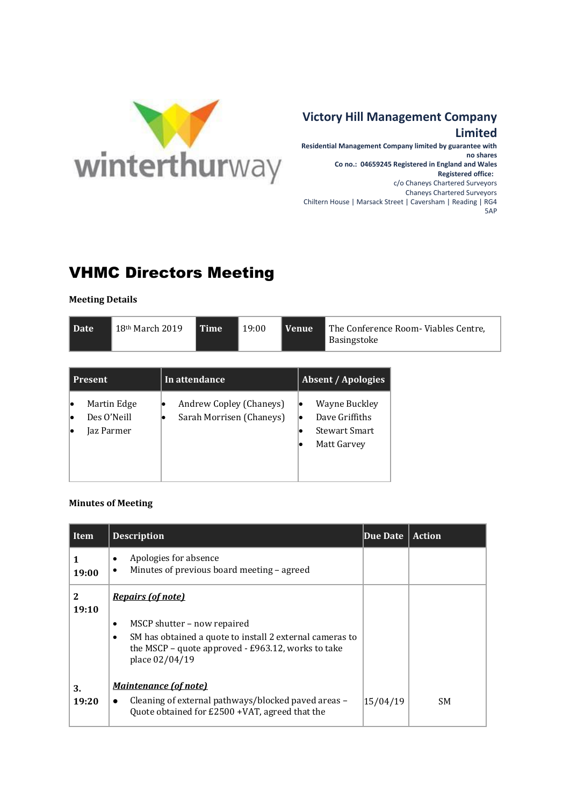

## **Victory Hill Management Company Limited**

**Residential Management Company limited by guarantee with no shares Co no.: 04659245 Registered in England and Wales Registered office:**  c/o Chaneys Chartered Surveyors Chaneys Chartered Surveyors Chiltern House | Marsack Street | Caversham | Reading | RG4 5AP

## VHMC Directors Meeting

**Meeting Details**

| l Date                 | $18th$ March 2019 | Time <sup>1</sup> | 19:00<br>  Venue |  | The Conference Room-Viables Centre,<br>Basingstoke |  |  |
|------------------------|-------------------|-------------------|------------------|--|----------------------------------------------------|--|--|
| $\blacksquare$ Duogont |                   | In ottondongo     |                  |  | Ahoont / Anglorica                                 |  |  |

| <b>Present</b>                           | In attendance                                       | Absent / Apologies                                                     |  |
|------------------------------------------|-----------------------------------------------------|------------------------------------------------------------------------|--|
| Martin Edge<br>Des O'Neill<br>Jaz Parmer | Andrew Copley (Chaneys)<br>Sarah Morrisen (Chaneys) | Wayne Buckley<br>Dave Griffiths<br><b>Stewart Smart</b><br>Matt Garvey |  |

## **Minutes of Meeting**

| Item        | <b>Description</b>                                                                                                                                                                                                    | Due Date | <b>Action</b> |
|-------------|-----------------------------------------------------------------------------------------------------------------------------------------------------------------------------------------------------------------------|----------|---------------|
| 19:00       | Apologies for absence<br>٠<br>Minutes of previous board meeting - agreed<br>$\bullet$                                                                                                                                 |          |               |
| 2<br>19:10  | <b>Repairs (of note)</b><br>MSCP shutter – now repaired<br>$\bullet$<br>SM has obtained a quote to install 2 external cameras to<br>$\bullet$<br>the MSCP – quote approved - £963.12, works to take<br>place 02/04/19 |          |               |
| 3.<br>19:20 | <b>Maintenance (of note)</b><br>Cleaning of external pathways/blocked paved areas -<br>٠<br>Quote obtained for £2500 +VAT, agreed that the                                                                            | 15/04/19 | SМ            |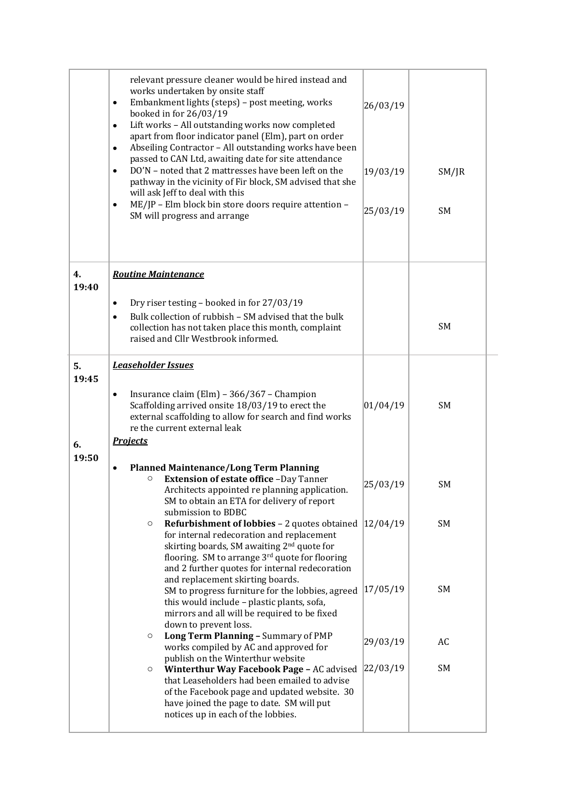|             | relevant pressure cleaner would be hired instead and<br>works undertaken by onsite staff<br>Embankment lights (steps) - post meeting, works<br>$\bullet$<br>booked in for 26/03/19<br>Lift works - All outstanding works now completed<br>$\bullet$<br>apart from floor indicator panel (Elm), part on order<br>Abseiling Contractor - All outstanding works have been<br>$\bullet$<br>passed to CAN Ltd, awaiting date for site attendance<br>DO'N - noted that 2 mattresses have been left on the<br>$\bullet$<br>pathway in the vicinity of Fir block, SM advised that she<br>will ask Jeff to deal with this<br>ME/JP - Elm block bin store doors require attention -<br>$\bullet$<br>SM will progress and arrange | 26/03/19<br>19/03/19<br>25/03/19 | SM/JR<br>SM |
|-------------|------------------------------------------------------------------------------------------------------------------------------------------------------------------------------------------------------------------------------------------------------------------------------------------------------------------------------------------------------------------------------------------------------------------------------------------------------------------------------------------------------------------------------------------------------------------------------------------------------------------------------------------------------------------------------------------------------------------------|----------------------------------|-------------|
| 4.<br>19:40 | <b>Routine Maintenance</b><br>Dry riser testing - booked in for 27/03/19<br>$\bullet$                                                                                                                                                                                                                                                                                                                                                                                                                                                                                                                                                                                                                                  |                                  |             |
|             | Bulk collection of rubbish - SM advised that the bulk<br>$\bullet$<br>collection has not taken place this month, complaint<br>raised and Cllr Westbrook informed.                                                                                                                                                                                                                                                                                                                                                                                                                                                                                                                                                      |                                  | SM          |
| 5.<br>19:45 | <b>Leaseholder Issues</b><br>Insurance claim (Elm) - 366/367 - Champion<br>$\bullet$<br>Scaffolding arrived onsite 18/03/19 to erect the                                                                                                                                                                                                                                                                                                                                                                                                                                                                                                                                                                               | 01/04/19                         | <b>SM</b>   |
| 6.<br>19:50 | external scaffolding to allow for search and find works<br>re the current external leak<br><b>Projects</b>                                                                                                                                                                                                                                                                                                                                                                                                                                                                                                                                                                                                             |                                  |             |
|             | <b>Planned Maintenance/Long Term Planning</b><br>$\bullet$<br><b>Extension of estate office -Day Tanner</b><br>$\circ$<br>Architects appointed re planning application.<br>SM to obtain an ETA for delivery of report                                                                                                                                                                                                                                                                                                                                                                                                                                                                                                  | 25/03/19                         | SM          |
|             | submission to BDBC<br><b>Refurbishment of lobbies - 2 quotes obtained <math> 12/04/19</math></b><br>$\circ$<br>for internal redecoration and replacement<br>skirting boards, SM awaiting 2 <sup>nd</sup> quote for<br>flooring. SM to arrange 3 <sup>rd</sup> quote for flooring<br>and 2 further quotes for internal redecoration                                                                                                                                                                                                                                                                                                                                                                                     |                                  | SM          |
|             | and replacement skirting boards.<br>SM to progress furniture for the lobbies, agreed<br>this would include - plastic plants, sofa,<br>mirrors and all will be required to be fixed<br>down to prevent loss.                                                                                                                                                                                                                                                                                                                                                                                                                                                                                                            | 17/05/19                         | SM          |
|             | Long Term Planning - Summary of PMP<br>$\circ$<br>works compiled by AC and approved for                                                                                                                                                                                                                                                                                                                                                                                                                                                                                                                                                                                                                                | 29/03/19                         | AC          |
|             | publish on the Winterthur website<br>Winterthur Way Facebook Page - AC advised<br>$\circ$<br>that Leaseholders had been emailed to advise<br>of the Facebook page and updated website. 30<br>have joined the page to date. SM will put<br>notices up in each of the lobbies.                                                                                                                                                                                                                                                                                                                                                                                                                                           | 22/03/19                         | SM          |